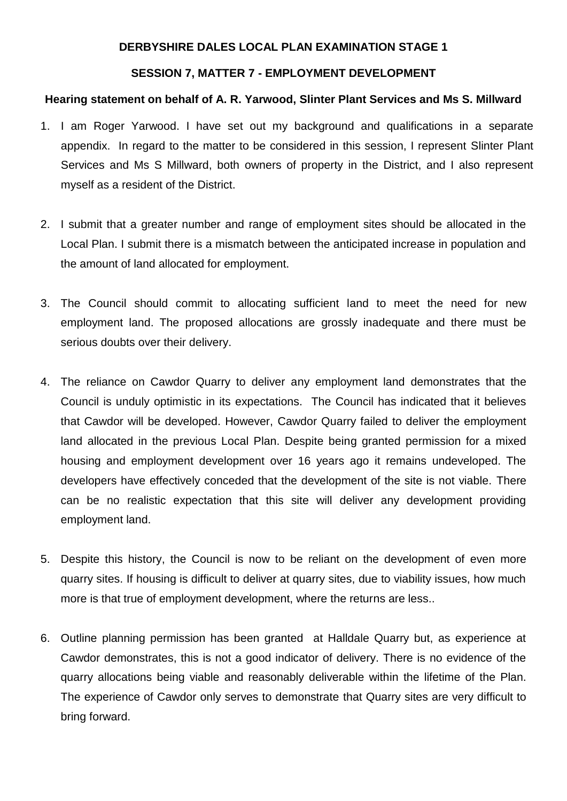## **DERBYSHIRE DALES LOCAL PLAN EXAMINATION STAGE 1**

## **SESSION 7, MATTER 7 - EMPLOYMENT DEVELOPMENT**

## **Hearing statement on behalf of A. R. Yarwood, Slinter Plant Services and Ms S. Millward**

- 1. I am Roger Yarwood. I have set out my background and qualifications in a separate appendix. In regard to the matter to be considered in this session, I represent Slinter Plant Services and Ms S Millward, both owners of property in the District, and I also represent myself as a resident of the District.
- 2. I submit that a greater number and range of employment sites should be allocated in the Local Plan. I submit there is a mismatch between the anticipated increase in population and the amount of land allocated for employment.
- 3. The Council should commit to allocating sufficient land to meet the need for new employment land. The proposed allocations are grossly inadequate and there must be serious doubts over their delivery.
- 4. The reliance on Cawdor Quarry to deliver any employment land demonstrates that the Council is unduly optimistic in its expectations. The Council has indicated that it believes that Cawdor will be developed. However, Cawdor Quarry failed to deliver the employment land allocated in the previous Local Plan. Despite being granted permission for a mixed housing and employment development over 16 years ago it remains undeveloped. The developers have effectively conceded that the development of the site is not viable. There can be no realistic expectation that this site will deliver any development providing employment land.
- 5. Despite this history, the Council is now to be reliant on the development of even more quarry sites. If housing is difficult to deliver at quarry sites, due to viability issues, how much more is that true of employment development, where the returns are less..
- 6. Outline planning permission has been granted at Halldale Quarry but, as experience at Cawdor demonstrates, this is not a good indicator of delivery. There is no evidence of the quarry allocations being viable and reasonably deliverable within the lifetime of the Plan. The experience of Cawdor only serves to demonstrate that Quarry sites are very difficult to bring forward.